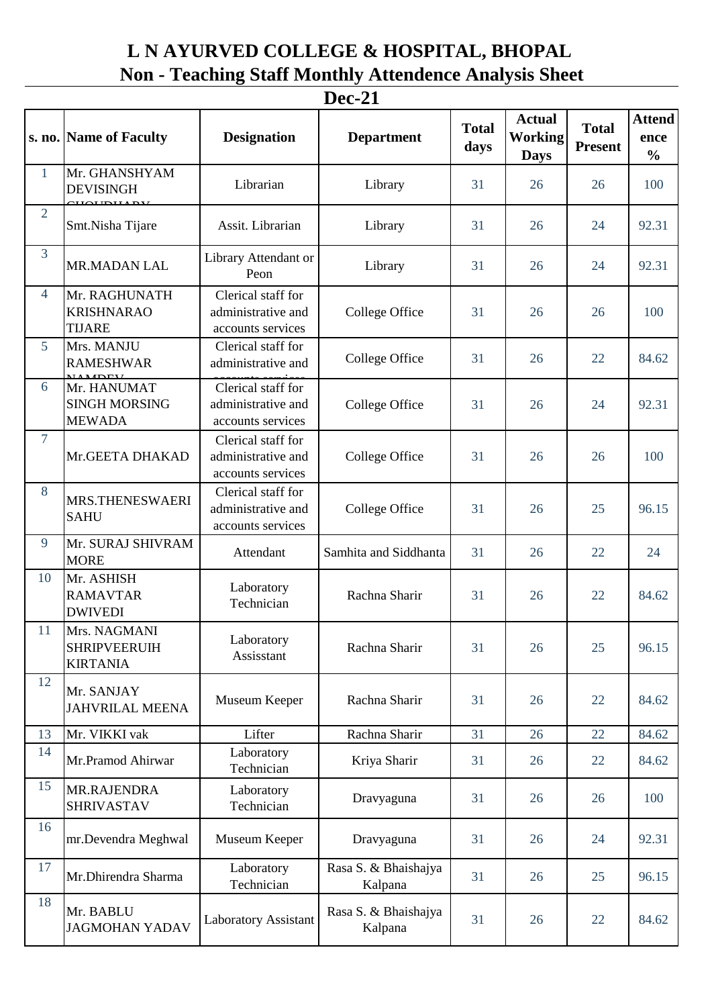## **L N AYURVED COLLEGE & HOSPITAL, BHOPAL Non - Teaching Staff Monthly Attendence Analysis Sheet Dec-21**

|                | s. no. Name of Faculty                                  | <b>Designation</b>                                            | <b>Department</b>               | <b>Total</b><br>days | <b>Actual</b><br><b>Working</b><br><b>Days</b> | <b>Total</b><br><b>Present</b> | <b>Attend</b><br>ence<br>$\frac{0}{0}$ |
|----------------|---------------------------------------------------------|---------------------------------------------------------------|---------------------------------|----------------------|------------------------------------------------|--------------------------------|----------------------------------------|
| $\mathbf{1}$   | Mr. GHANSHYAM<br><b>DEVISINGH</b><br><b>IQUIDILADIZ</b> | Librarian                                                     | Library                         | 31                   | 26                                             | 26                             | 100                                    |
| $\overline{2}$ | Smt.Nisha Tijare                                        | Assit. Librarian                                              | Library                         | 31                   | 26                                             | 24                             | 92.31                                  |
| $\overline{3}$ | MR.MADAN LAL                                            | Library Attendant or<br>Peon                                  | Library                         | 31                   | 26                                             | 24                             | 92.31                                  |
| $\overline{4}$ | Mr. RAGHUNATH<br><b>KRISHNARAO</b><br><b>TIJARE</b>     | Clerical staff for<br>administrative and<br>accounts services | College Office                  | 31                   | 26                                             | 26                             | 100                                    |
| 5              | Mrs. MANJU<br><b>RAMESHWAR</b>                          | Clerical staff for<br>administrative and                      | College Office                  | 31                   | 26                                             | 22                             | 84.62                                  |
| 6              | Mr. HANUMAT<br><b>SINGH MORSING</b><br><b>MEWADA</b>    | Clerical staff for<br>administrative and<br>accounts services | College Office                  | 31                   | 26                                             | 24                             | 92.31                                  |
| $\overline{7}$ | Mr.GEETA DHAKAD                                         | Clerical staff for<br>administrative and<br>accounts services | College Office                  | 31                   | 26                                             | 26                             | 100                                    |
| 8              | MRS.THENESWAERI<br><b>SAHU</b>                          | Clerical staff for<br>administrative and<br>accounts services | College Office                  | 31                   | 26                                             | 25                             | 96.15                                  |
| 9              | Mr. SURAJ SHIVRAM<br><b>MORE</b>                        | Attendant                                                     | Samhita and Siddhanta           | 31                   | 26                                             | 22                             | 24                                     |
| 10             | Mr. ASHISH<br><b>RAMAVTAR</b><br><b>DWIVEDI</b>         | Laboratory<br>Technician                                      | Rachna Sharir                   | 31                   | 26                                             | 22                             | 84.62                                  |
| 11             | Mrs. NAGMANI<br><b>SHRIPVEERUIH</b><br><b>KIRTANIA</b>  | Laboratory<br>Assisstant                                      | Rachna Sharir                   | 31                   | 26                                             | 25                             | 96.15                                  |
| 12             | Mr. SANJAY<br><b>JAHVRILAL MEENA</b>                    | Museum Keeper                                                 | Rachna Sharir                   | 31                   | 26                                             | 22                             | 84.62                                  |
| 13             | Mr. VIKKI vak                                           | Lifter                                                        | Rachna Sharir                   | 31                   | 26                                             | 22                             | 84.62                                  |
| 14             | Mr.Pramod Ahirwar                                       | Laboratory<br>Technician                                      | Kriya Sharir                    | 31                   | 26                                             | 22                             | 84.62                                  |
| 15             | MR.RAJENDRA<br><b>SHRIVASTAV</b>                        | Laboratory<br>Technician                                      | Dravyaguna                      | 31                   | 26                                             | 26                             | 100                                    |
| 16             | mr.Devendra Meghwal                                     | Museum Keeper                                                 | Dravyaguna                      | 31                   | 26                                             | 24                             | 92.31                                  |
| 17             | Mr.Dhirendra Sharma                                     | Laboratory<br>Technician                                      | Rasa S. & Bhaishajya<br>Kalpana | 31                   | 26                                             | 25                             | 96.15                                  |
| 18             | Mr. BABLU<br><b>JAGMOHAN YADAV</b>                      | Laboratory Assistant                                          | Rasa S. & Bhaishajya<br>Kalpana | 31                   | 26                                             | 22                             | 84.62                                  |